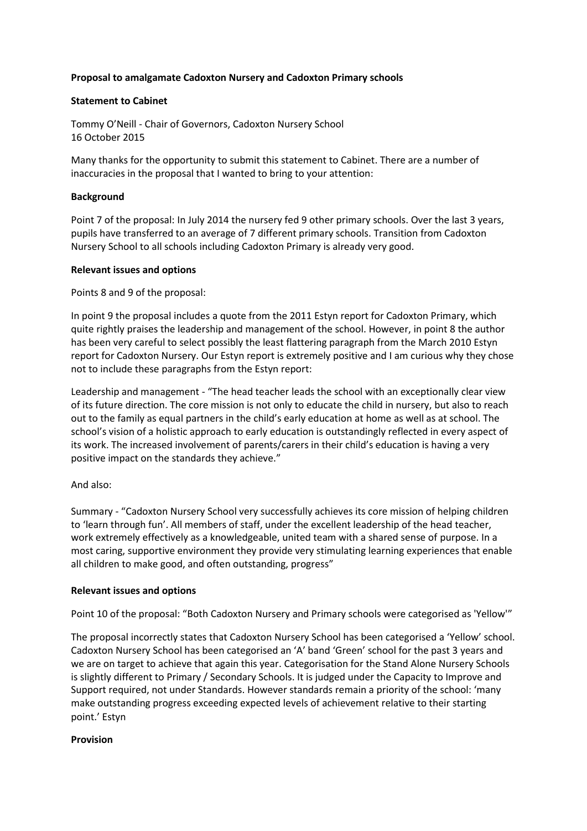## **Proposal to amalgamate Cadoxton Nursery and Cadoxton Primary schools**

## **Statement to Cabinet**

Tommy O'Neill - Chair of Governors, Cadoxton Nursery School 16 October 2015

Many thanks for the opportunity to submit this statement to Cabinet. There are a number of inaccuracies in the proposal that I wanted to bring to your attention:

## **Background**

Point 7 of the proposal: In July 2014 the nursery fed 9 other primary schools. Over the last 3 years, pupils have transferred to an average of 7 different primary schools. Transition from Cadoxton Nursery School to all schools including Cadoxton Primary is already very good.

## **Relevant issues and options**

Points 8 and 9 of the proposal:

In point 9 the proposal includes a quote from the 2011 Estyn report for Cadoxton Primary, which quite rightly praises the leadership and management of the school. However, in point 8 the author has been very careful to select possibly the least flattering paragraph from the March 2010 Estyn report for Cadoxton Nursery. Our Estyn report is extremely positive and I am curious why they chose not to include these paragraphs from the Estyn report:

Leadership and management - "The head teacher leads the school with an exceptionally clear view of its future direction. The core mission is not only to educate the child in nursery, but also to reach out to the family as equal partners in the child's early education at home as well as at school. The school's vision of a holistic approach to early education is outstandingly reflected in every aspect of its work. The increased involvement of parents/carers in their child's education is having a very positive impact on the standards they achieve."

# And also:

Summary - "Cadoxton Nursery School very successfully achieves its core mission of helping children to 'learn through fun'. All members of staff, under the excellent leadership of the head teacher, work extremely effectively as a knowledgeable, united team with a shared sense of purpose. In a most caring, supportive environment they provide very stimulating learning experiences that enable all children to make good, and often outstanding, progress"

## **Relevant issues and options**

Point 10 of the proposal: "Both Cadoxton Nursery and Primary schools were categorised as 'Yellow'"

The proposal incorrectly states that Cadoxton Nursery School has been categorised a 'Yellow' school. Cadoxton Nursery School has been categorised an 'A' band 'Green' school for the past 3 years and we are on target to achieve that again this year. Categorisation for the Stand Alone Nursery Schools is slightly different to Primary / Secondary Schools. It is judged under the Capacity to Improve and Support required, not under Standards. However standards remain a priority of the school: 'many make outstanding progress exceeding expected levels of achievement relative to their starting point.' Estyn

## **Provision**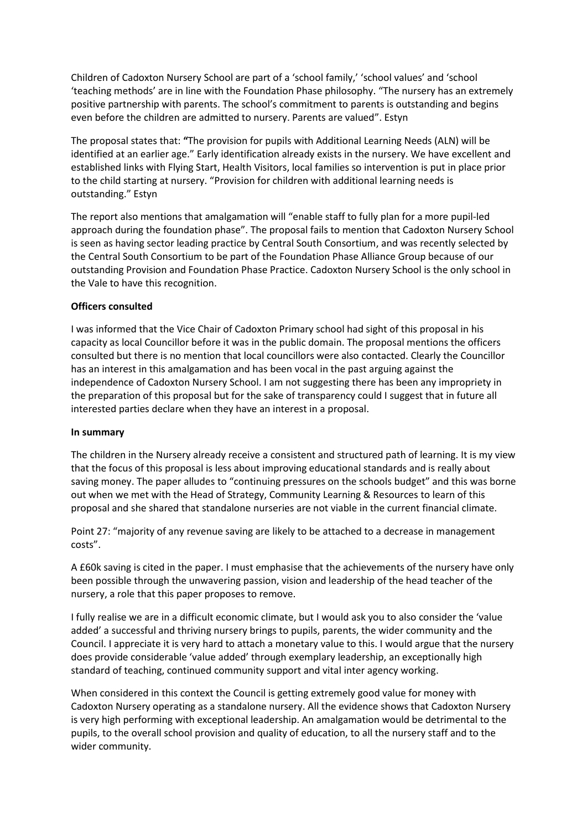Children of Cadoxton Nursery School are part of a 'school family,' 'school values' and 'school 'teaching methods' are in line with the Foundation Phase philosophy. "The nursery has an extremely positive partnership with parents. The school's commitment to parents is outstanding and begins even before the children are admitted to nursery. Parents are valued". Estyn

The proposal states that: **"**The provision for pupils with Additional Learning Needs (ALN) will be identified at an earlier age." Early identification already exists in the nursery. We have excellent and established links with Flying Start, Health Visitors, local families so intervention is put in place prior to the child starting at nursery. "Provision for children with additional learning needs is outstanding." Estyn

The report also mentions that amalgamation will "enable staff to fully plan for a more pupil-led approach during the foundation phase". The proposal fails to mention that Cadoxton Nursery School is seen as having sector leading practice by Central South Consortium, and was recently selected by the Central South Consortium to be part of the Foundation Phase Alliance Group because of our outstanding Provision and Foundation Phase Practice. Cadoxton Nursery School is the only school in the Vale to have this recognition.

### **Officers consulted**

I was informed that the Vice Chair of Cadoxton Primary school had sight of this proposal in his capacity as local Councillor before it was in the public domain. The proposal mentions the officers consulted but there is no mention that local councillors were also contacted. Clearly the Councillor has an interest in this amalgamation and has been vocal in the past arguing against the independence of Cadoxton Nursery School. I am not suggesting there has been any impropriety in the preparation of this proposal but for the sake of transparency could I suggest that in future all interested parties declare when they have an interest in a proposal.

#### **In summary**

The children in the Nursery already receive a consistent and structured path of learning. It is my view that the focus of this proposal is less about improving educational standards and is really about saving money. The paper alludes to "continuing pressures on the schools budget" and this was borne out when we met with the Head of Strategy, Community Learning & Resources to learn of this proposal and she shared that standalone nurseries are not viable in the current financial climate.

Point 27: "majority of any revenue saving are likely to be attached to a decrease in management costs".

A £60k saving is cited in the paper. I must emphasise that the achievements of the nursery have only been possible through the unwavering passion, vision and leadership of the head teacher of the nursery, a role that this paper proposes to remove.

I fully realise we are in a difficult economic climate, but I would ask you to also consider the 'value added' a successful and thriving nursery brings to pupils, parents, the wider community and the Council. I appreciate it is very hard to attach a monetary value to this. I would argue that the nursery does provide considerable 'value added' through exemplary leadership, an exceptionally high standard of teaching, continued community support and vital inter agency working.

When considered in this context the Council is getting extremely good value for money with Cadoxton Nursery operating as a standalone nursery. All the evidence shows that Cadoxton Nursery is very high performing with exceptional leadership. An amalgamation would be detrimental to the pupils, to the overall school provision and quality of education, to all the nursery staff and to the wider community.